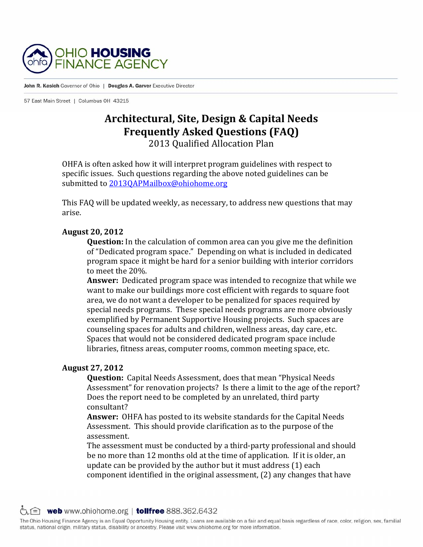

John R. Kasich Governor of Ohio | Douglas A. Garver Executive Director

57 East Main Street | Columbus OH 43215

# **Architectural, Site, Design & Capital Needs Frequently Asked Questions (FAQ)**

2013 Qualified Allocation Plan 

OHFA is often asked how it will interpret program guidelines with respect to specific issues. Such questions regarding the above noted guidelines can be submitted to 2013OAPMailbox@ohiohome.org

This FAQ will be updated weekly, as necessary, to address new questions that may arise. 

### **August 20, 2012**

**Question:** In the calculation of common area can you give me the definition of "Dedicated program space." Depending on what is included in dedicated program space it might be hard for a senior building with interior corridors to meet the 20%.

**Answer:** Dedicated program space was intended to recognize that while we want to make our buildings more cost efficient with regards to square foot area, we do not want a developer to be penalized for spaces required by special needs programs. These special needs programs are more obviously exemplified by Permanent Supportive Housing projects. Such spaces are counseling spaces for adults and children, wellness areas, day care, etc. Spaces that would not be considered dedicated program space include libraries, fitness areas, computer rooms, common meeting space, etc.

# **August 27, 2012**

**Question:** Capital Needs Assessment, does that mean "Physical Needs" Assessment" for renovation projects? Is there a limit to the age of the report? Does the report need to be completed by an unrelated, third party consultant? 

**Answer:** OHFA has posted to its website standards for the Capital Needs Assessment. This should provide clarification as to the purpose of the assessment. 

The assessment must be conducted by a third-party professional and should be no more than 12 months old at the time of application. If it is older, an update can be provided by the author but it must address  $(1)$  each component identified in the original assessment,  $(2)$  any changes that have

 $\circlearrowright$  web www.ohiohome.org | tollfree 888.362.6432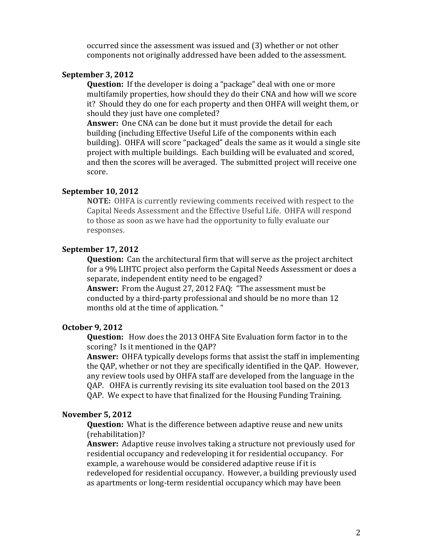occurred since the assessment was issued and (3) whether or not other components not originally addressed have been added to the assessment.

### **September 3, 2012**

**Question:** If the developer is doing a "package" deal with one or more multifamily properties, how should they do their CNA and how will we score it? Should they do one for each property and then OHFA will weight them, or should they just have one completed?

**Answer:** One CNA can be done but it must provide the detail for each building (including Effective Useful Life of the components within each building). OHFA will score "packaged" deals the same as it would a single site project with multiple buildings. Each building will be evaluated and scored, and then the scores will be averaged. The submitted project will receive one score. 

# **September 10, 2012**

**NOTE:** OHFA is currently reviewing comments received with respect to the Capital Needs Assessment and the Effective Useful Life. OHFA will respond to those as soon as we have had the opportunity to fully evaluate our responses. 

### **September 17, 2012**

**Question:** Can the architectural firm that will serve as the project architect for a 9% LIHTC project also perform the Capital Needs Assessment or does a separate, independent entity need to be engaged?

**Answer:** From the August 27, 2012 FAQ: "The assessment must be conducted by a third-party professional and should be no more than 12 months old at the time of application. "

### **October 9, 2012**

**Question:** How does the 2013 OHFA Site Evaluation form factor in to the scoring? Is it mentioned in the OAP?

**Answer:** OHFA typically develops forms that assist the staff in implementing the QAP, whether or not they are specifically identified in the QAP. However, any review tools used by OHFA staff are developed from the language in the QAP. OHFA is currently revising its site evaluation tool based on the 2013 QAP. We expect to have that finalized for the Housing Funding Training.

# **November 5, 2012**

**Question:** What is the difference between adaptive reuse and new units (rehabilitation)? 

**Answer:** Adaptive reuse involves taking a structure not previously used for residential occupancy and redeveloping it for residential occupancy. For example, a warehouse would be considered adaptive reuse if it is redeveloped for residential occupancy. However, a building previously used as apartments or long-term residential occupancy which may have been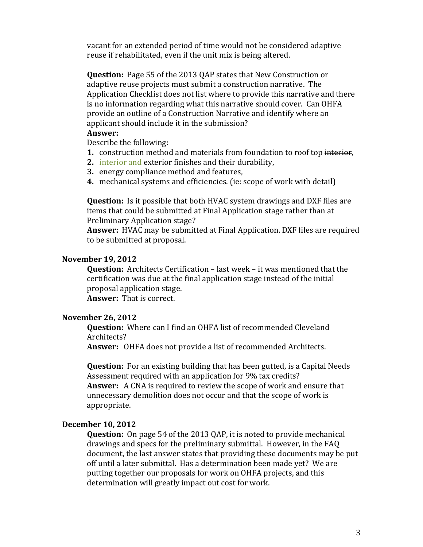vacant for an extended period of time would not be considered adaptive reuse if rehabilitated, even if the unit mix is being altered.

**Question:** Page 55 of the 2013 OAP states that New Construction or adaptive reuse projects must submit a construction narrative. The Application Checklist does not list where to provide this narrative and there is no information regarding what this narrative should cover. Can OHFA provide an outline of a Construction Narrative and identify where an applicant should include it in the submission?

### **Answer:**

Describe the following:

- **1.** construction method and materials from foundation to roof top interior,
- **2.** interior and exterior finishes and their durability,
- **3.** energy compliance method and features,
- **4.** mechanical systems and efficiencies. (ie: scope of work with detail)

**Question:** Is it possible that both HVAC system drawings and DXF files are items that could be submitted at Final Application stage rather than at Preliminary Application stage?

**Answer:** HVAC may be submitted at Final Application. DXF files are required to be submitted at proposal.

### **November 19, 2012**

**Question:** Architects Certification – last week – it was mentioned that the certification was due at the final application stage instead of the initial proposal application stage.

**Answer:** That is correct.

# **November 26, 2012**

**Question:** Where can I find an OHFA list of recommended Cleveland Architects? 

**Answer:** OHFA does not provide a list of recommended Architects.

**Question:** For an existing building that has been gutted, is a Capital Needs Assessment required with an application for 9% tax credits? **Answer:** A CNA is required to review the scope of work and ensure that unnecessary demolition does not occur and that the scope of work is appropriate. 

### **December 10, 2012**

**Question:** On page 54 of the 2013 QAP, it is noted to provide mechanical drawings and specs for the preliminary submittal. However, in the FAQ document, the last answer states that providing these documents may be put off until a later submittal. Has a determination been made yet? We are putting together our proposals for work on OHFA projects, and this determination will greatly impact out cost for work.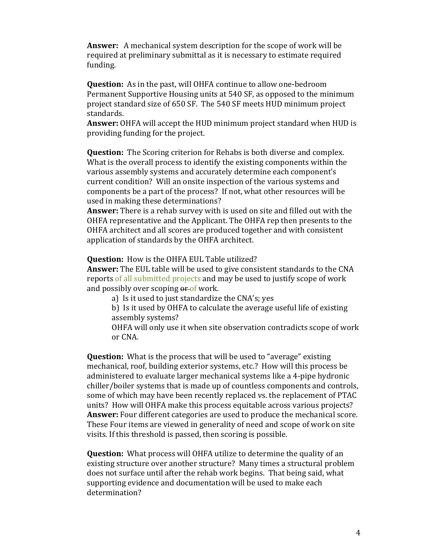**Answer:** A mechanical system description for the scope of work will be required at preliminary submittal as it is necessary to estimate required funding. 

**Question:** As in the past, will OHFA continue to allow one-bedroom Permanent Supportive Housing units at 540 SF, as opposed to the minimum project standard size of 650 SF. The 540 SF meets HUD minimum project standards. 

**Answer:** OHFA will accept the HUD minimum project standard when HUD is providing funding for the project.

**Question:** The Scoring criterion for Rehabs is both diverse and complex. What is the overall process to identify the existing components within the various assembly systems and accurately determine each component's current condition? Will an onsite inspection of the various systems and components be a part of the process? If not, what other resources will be used in making these determinations?

**Answer:** There is a rehab survey with is used on site and filled out with the OHFA representative and the Applicant. The OHFA rep then presents to the OHFA architect and all scores are produced together and with consistent application of standards by the OHFA architect.

**Question:** How is the OHFA EUL Table utilized?

**Answer:** The EUL table will be used to give consistent standards to the CNA reports of all submitted projects and may be used to justify scope of work and possibly over scoping  $\theta$  of work.

a) Is it used to just standardize the CNA's; yes

b) Is it used by OHFA to calculate the average useful life of existing assembly systems?

OHFA will only use it when site observation contradicts scope of work or CNA.

**Question:** What is the process that will be used to "average" existing mechanical, roof, building exterior systems, etc.? How will this process be administered to evaluate larger mechanical systems like a 4-pipe hydronic chiller/boiler systems that is made up of countless components and controls, some of which may have been recently replaced vs. the replacement of PTAC units? How will OHFA make this process equitable across various projects? **Answer:** Four different categories are used to produce the mechanical score. These Four items are viewed in generality of need and scope of work on site visits. If this threshold is passed, then scoring is possible.

**Question:** What process will OHFA utilize to determine the quality of an existing structure over another structure? Many times a structural problem does not surface until after the rehab work begins. That being said, what supporting evidence and documentation will be used to make each determination?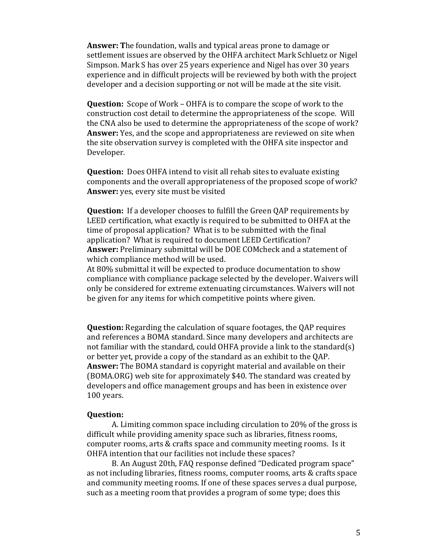**Answer:** The foundation, walls and typical areas prone to damage or settlement issues are observed by the OHFA architect Mark Schluetz or Nigel Simpson. Mark S has over 25 years experience and Nigel has over 30 years experience and in difficult projects will be reviewed by both with the project developer and a decision supporting or not will be made at the site visit.

**Question:** Scope of Work – OHFA is to compare the scope of work to the construction cost detail to determine the appropriateness of the scope. Will the CNA also be used to determine the appropriateness of the scope of work? **Answer:** Yes, and the scope and appropriateness are reviewed on site when the site observation survey is completed with the OHFA site inspector and Developer. 

**Question:** Does OHFA intend to visit all rehab sites to evaluate existing components and the overall appropriateness of the proposed scope of work? **Answer:** yes, every site must be visited

**Question:** If a developer chooses to fulfill the Green QAP requirements by LEED certification, what exactly is required to be submitted to OHFA at the time of proposal application? What is to be submitted with the final application? What is required to document LEED Certification? **Answer:** Preliminary submittal will be DOE COMcheck and a statement of which compliance method will be used.

At 80% submittal it will be expected to produce documentation to show compliance with compliance package selected by the developer. Waivers will only be considered for extreme extenuating circumstances. Waivers will not be given for any items for which competitive points where given.

**Question:** Regarding the calculation of square footages, the QAP requires and references a BOMA standard. Since many developers and architects are not familiar with the standard, could OHFA provide a link to the standard(s) or better yet, provide a copy of the standard as an exhibit to the QAP. **Answer:** The BOMA standard is copyright material and available on their (BOMA.ORG) web site for approximately \$40. The standard was created by developers and office management groups and has been in existence over 100 years.

### **Question:**

A. Limiting common space including circulation to 20% of the gross is difficult while providing amenity space such as libraries, fitness rooms, computer rooms, arts & crafts space and community meeting rooms. Is it OHFA intention that our facilities not include these spaces?

B. An August 20th, FAQ response defined "Dedicated program space" as not including libraries, fitness rooms, computer rooms, arts & crafts space and community meeting rooms. If one of these spaces serves a dual purpose, such as a meeting room that provides a program of some type; does this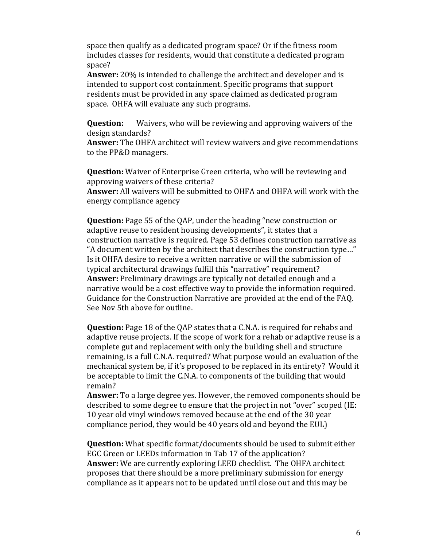space then qualify as a dedicated program space? Or if the fitness room includes classes for residents, would that constitute a dedicated program space? 

**Answer:** 20% is intended to challenge the architect and developer and is intended to support cost containment. Specific programs that support residents must be provided in any space claimed as dedicated program space. OHFA will evaluate any such programs.

**Question:** Waivers, who will be reviewing and approving waivers of the design standards?

**Answer:** The OHFA architect will review waivers and give recommendations to the PP&D managers.

**Question:** Waiver of Enterprise Green criteria, who will be reviewing and approving waivers of these criteria?

**Answer:** All waivers will be submitted to OHFA and OHFA will work with the energy compliance agency

**Question:** Page 55 of the QAP, under the heading "new construction or adaptive reuse to resident housing developments", it states that a construction narrative is required. Page 53 defines construction narrative as "A document written by the architect that describes the construction type..." Is it OHFA desire to receive a written narrative or will the submission of typical architectural drawings fulfill this "narrative" requirement? **Answer:** Preliminary drawings are typically not detailed enough and a narrative would be a cost effective way to provide the information required. Guidance for the Construction Narrative are provided at the end of the FAQ. See Nov 5th above for outline.

**Question:** Page 18 of the QAP states that a C.N.A. is required for rehabs and adaptive reuse projects. If the scope of work for a rehab or adaptive reuse is a complete gut and replacement with only the building shell and structure remaining, is a full C.N.A. required? What purpose would an evaluation of the mechanical system be, if it's proposed to be replaced in its entirety? Would it be acceptable to limit the C.N.A. to components of the building that would remain? 

**Answer:** To a large degree yes. However, the removed components should be described to some degree to ensure that the project in not "over" scoped (IE: 10 year old vinyl windows removed because at the end of the 30 year compliance period, they would be 40 years old and beyond the EUL)

**Question:** What specific format/documents should be used to submit either EGC Green or LEEDs information in Tab 17 of the application? **Answer:** We are currently exploring LEED checklist. The OHFA architect proposes that there should be a more preliminary submission for energy compliance as it appears not to be updated until close out and this may be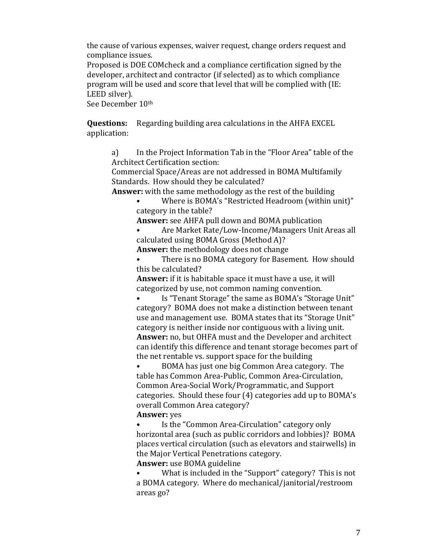the cause of various expenses, waiver request, change orders request and compliance issues.

Proposed is DOE COMcheck and a compliance certification signed by the developer, architect and contractor (if selected) as to which compliance program will be used and score that level that will be complied with (IE: LEED silver).

See December 10<sup>th</sup>

**Questions:** Regarding building area calculations in the AHFA EXCEL application: 

a) In the Project Information Tab in the "Floor Area" table of the Architect Certification section:

Commercial Space/Areas are not addressed in BOMA Multifamily Standards. How should they be calculated?

**Answer:** with the same methodology as the rest of the building

Where is BOMA's "Restricted Headroom (within unit)" category in the table?

**Answer:** see AHFA pull down and BOMA publication

Are Market Rate/Low-Income/Managers Unit Areas all calculated using BOMA Gross (Method A)?

**Answer:** the methodology does not change

There is no BOMA category for Basement. How should this be calculated?

**Answer:** if it is habitable space it must have a use, it will categorized by use, not common naming convention.

Is "Tenant Storage" the same as BOMA's "Storage Unit" category? BOMA does not make a distinction between tenant use and management use. BOMA states that its "Storage Unit" category is neither inside nor contiguous with a living unit. Answer: no, but OHFA must and the Developer and architect can identify this difference and tenant storage becomes part of the net rentable vs. support space for the building

BOMA has just one big Common Area category. The table has Common Area-Public, Common Area-Circulation, Common Area-Social Work/Programmatic, and Support categories. Should these four (4) categories add up to BOMA's overall Common Area category?

# **Answer:** ves

Is the "Common Area-Circulation" category only horizontal area (such as public corridors and lobbies)? BOMA places vertical circulation (such as elevators and stairwells) in the Major Vertical Penetrations category. **Answer:** use BOMA guideline

What is included in the "Support" category? This is not a BOMA category. Where do mechanical/janitorial/restroom areas go?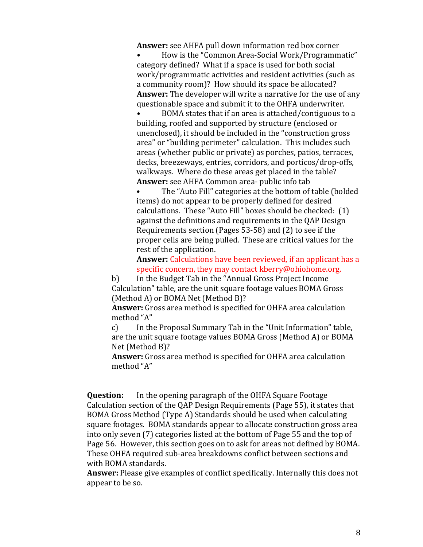**Answer:** see AHFA pull down information red box corner

How is the "Common Area-Social Work/Programmatic" category defined? What if a space is used for both social work/programmatic activities and resident activities (such as a community room)? How should its space be allocated? **Answer:** The developer will write a narrative for the use of any questionable space and submit it to the OHFA underwriter.

BOMA states that if an area is attached/contiguous to a building, roofed and supported by structure (enclosed or unenclosed), it should be included in the "construction gross area" or "building perimeter" calculation. This includes such areas (whether public or private) as porches, patios, terraces, decks, breezeways, entries, corridors, and porticos/drop-offs, walkways. Where do these areas get placed in the table? **Answer:** see AHFA Common area- public info tab

The "Auto Fill" categories at the bottom of table (bolded items) do not appear to be properly defined for desired calculations. These "Auto Fill" boxes should be checked:  $(1)$ against the definitions and requirements in the QAP Design Requirements section (Pages  $53-58$ ) and  $(2)$  to see if the proper cells are being pulled. These are critical values for the rest of the application.

**Answer:** Calculations have been reviewed, if an applicant has a specific concern, they may contact kberry@ohiohome.org.

b) In the Budget Tab in the "Annual Gross Project Income Calculation" table, are the unit square footage values BOMA Gross (Method A) or BOMA Net (Method B)?

**Answer:** Gross area method is specified for OHFA area calculation method "A"

c) In the Proposal Summary Tab in the "Unit Information" table, are the unit square footage values BOMA Gross (Method A) or BOMA Net (Method B)?

**Answer:** Gross area method is specified for OHFA area calculation method "A"

**Question:** In the opening paragraph of the OHFA Square Footage Calculation section of the QAP Design Requirements (Page 55), it states that BOMA Gross Method (Type A) Standards should be used when calculating square footages. BOMA standards appear to allocate construction gross area into only seven (7) categories listed at the bottom of Page 55 and the top of Page 56. However, this section goes on to ask for areas not defined by BOMA. These OHFA required sub-area breakdowns conflict between sections and with BOMA standards.

**Answer:** Please give examples of conflict specifically. Internally this does not appear to be so.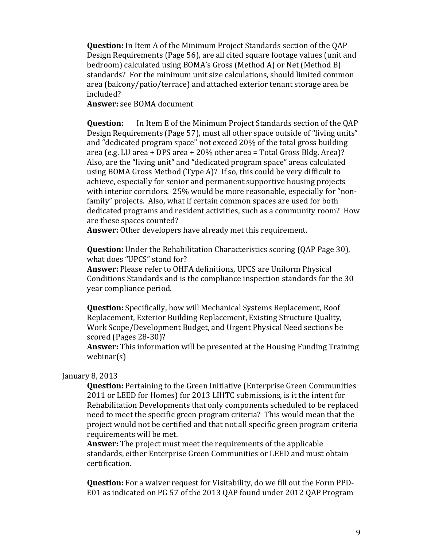**Question:** In Item A of the Minimum Project Standards section of the QAP Design Requirements (Page 56), are all cited square footage values (unit and bedroom) calculated using BOMA's Gross (Method A) or Net (Method B) standards? For the minimum unit size calculations, should limited common area (balcony/patio/terrace) and attached exterior tenant storage area be included? 

**Answer:** see BOMA document

**Question:** In Item E of the Minimum Project Standards section of the OAP Design Requirements (Page 57), must all other space outside of "living units" and "dedicated program space" not exceed 20% of the total gross building area (e.g. LU area + DPS area +  $20\%$  other area = Total Gross Bldg. Area)? Also, are the "living unit" and "dedicated program space" areas calculated using BOMA Gross Method (Type A)? If so, this could be very difficult to achieve, especially for senior and permanent supportive housing projects with interior corridors.  $25\%$  would be more reasonable, especially for "nonfamily" projects. Also, what if certain common spaces are used for both dedicated programs and resident activities, such as a community room? How are these spaces counted?

**Answer:** Other developers have already met this requirement.

**Question:** Under the Rehabilitation Characteristics scoring (QAP Page 30), what does "UPCS" stand for?

**Answer:** Please refer to OHFA definitions, UPCS are Uniform Physical Conditions Standards and is the compliance inspection standards for the 30 year compliance period.

**Question:** Specifically, how will Mechanical Systems Replacement, Roof Replacement, Exterior Building Replacement, Existing Structure Quality, Work Scope/Development Budget, and Urgent Physical Need sections be scored (Pages 28-30)?

**Answer:** This information will be presented at the Housing Funding Training webinar(s) 

# January 8, 2013

**Question:** Pertaining to the Green Initiative (Enterprise Green Communities 2011 or LEED for Homes) for 2013 LIHTC submissions, is it the intent for Rehabilitation Developments that only components scheduled to be replaced need to meet the specific green program criteria? This would mean that the project would not be certified and that not all specific green program criteria requirements will be met.

**Answer:** The project must meet the requirements of the applicable standards, either Enterprise Green Communities or LEED and must obtain certification. 

**Question:** For a waiver request for Visitability, do we fill out the Form PPD-E01 as indicated on PG 57 of the 2013 QAP found under 2012 QAP Program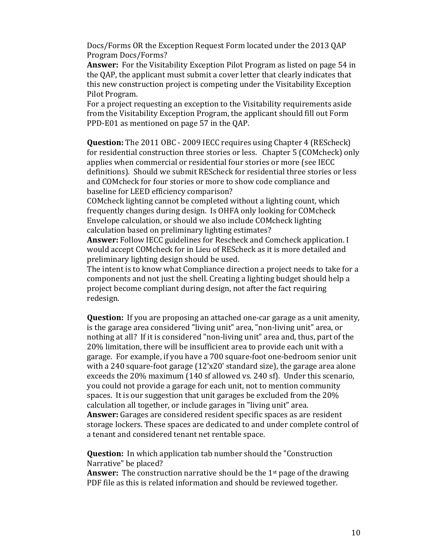Docs/Forms OR the Exception Request Form located under the 2013 QAP Program Docs/Forms? 

**Answer:** For the Visitability Exception Pilot Program as listed on page 54 in the OAP, the applicant must submit a cover letter that clearly indicates that this new construction project is competing under the Visitability Exception Pilot Program.

For a project requesting an exception to the Visitability requirements aside from the Visitability Exception Program, the applicant should fill out Form PPD-E01 as mentioned on page 57 in the OAP.

**Question:** The 2011 OBC - 2009 IECC requires using Chapter 4 (REScheck) for residential construction three stories or less. Chapter 5 (COMcheck) only applies when commercial or residential four stories or more (see IECC definitions). Should we submit REScheck for residential three stories or less and COMcheck for four stories or more to show code compliance and baseline for LEED efficiency comparison?

COMcheck lighting cannot be completed without a lighting count, which frequently changes during design. Is OHFA only looking for COMcheck Envelope calculation, or should we also include COMcheck lighting calculation based on preliminary lighting estimates?

**Answer:** Follow IECC guidelines for Rescheck and Comcheck application. I would accept COMcheck for in Lieu of REScheck as it is more detailed and preliminary lighting design should be used.

The intent is to know what Compliance direction a project needs to take for a components and not just the shell. Creating a lighting budget should help a project become compliant during design, not after the fact requiring redesign.

**Question:** If you are proposing an attached one-car garage as a unit amenity, is the garage area considered "living unit" area, "non-living unit" area, or nothing at all? If it is considered "non-living unit" area and, thus, part of the 20% limitation, there will be insufficient area to provide each unit with a garage. For example, if you have a 700 square-foot one-bedroom senior unit with a 240 square-foot garage  $(12'x20'$  standard size), the garage area alone exceeds the 20% maximum (140 sf allowed vs. 240 sf). Under this scenario, you could not provide a garage for each unit, not to mention community spaces. It is our suggestion that unit garages be excluded from the  $20\%$ calculation all together, or include garages in "living unit" area. **Answer:** Garages are considered resident specific spaces as are resident storage lockers. These spaces are dedicated to and under complete control of a tenant and considered tenant net rentable space.

**Question:** In which application tab number should the "Construction" Narrative" be placed?

**Answer:** The construction narrative should be the 1<sup>st</sup> page of the drawing PDF file as this is related information and should be reviewed together.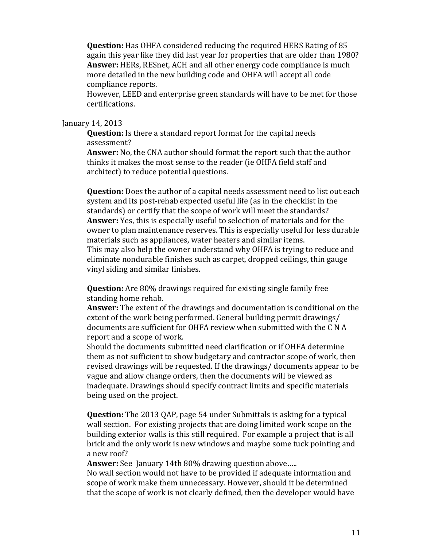**Question:** Has OHFA considered reducing the required HERS Rating of 85 again this year like they did last year for properties that are older than 1980? **Answer:** HERs, RESnet, ACH and all other energy code compliance is much more detailed in the new building code and OHFA will accept all code compliance reports.

However, LEED and enterprise green standards will have to be met for those certifications. 

# January 14, 2013

**Question:** Is there a standard report format for the capital needs assessment? 

**Answer:** No, the CNA author should format the report such that the author thinks it makes the most sense to the reader (ie OHFA field staff and architect) to reduce potential questions.

**Question:** Does the author of a capital needs assessment need to list out each system and its post-rehab expected useful life (as in the checklist in the standards) or certify that the scope of work will meet the standards? **Answer:** Yes, this is especially useful to selection of materials and for the owner to plan maintenance reserves. This is especially useful for less durable materials such as appliances, water heaters and similar items. This may also help the owner understand why OHFA is trying to reduce and eliminate nondurable finishes such as carpet, dropped ceilings, thin gauge vinyl siding and similar finishes.

**Question:** Are 80% drawings required for existing single family free standing home rehab.

**Answer:** The extent of the drawings and documentation is conditional on the extent of the work being performed. General building permit drawings/ documents are sufficient for OHFA review when submitted with the C N A report and a scope of work.

Should the documents submitted need clarification or if OHFA determine them as not sufficient to show budgetary and contractor scope of work, then revised drawings will be requested. If the drawings/ documents appear to be vague and allow change orders, then the documents will be viewed as inadequate. Drawings should specify contract limits and specific materials being used on the project.

**Question:** The 2013 QAP, page 54 under Submittals is asking for a typical wall section. For existing projects that are doing limited work scope on the building exterior walls is this still required. For example a project that is all brick and the only work is new windows and maybe some tuck pointing and a new roof?

**Answer:** See January 14th 80% drawing question above.....

No wall section would not have to be provided if adequate information and scope of work make them unnecessary. However, should it be determined that the scope of work is not clearly defined, then the developer would have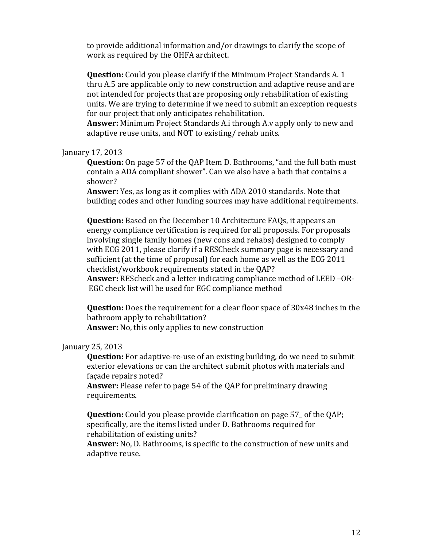to provide additional information and/or drawings to clarify the scope of work as required by the OHFA architect.

**Question:** Could you please clarify if the Minimum Project Standards A. 1 thru A.5 are applicable only to new construction and adaptive reuse and are not intended for projects that are proposing only rehabilitation of existing units. We are trying to determine if we need to submit an exception requests for our project that only anticipates rehabilitation.

**Answer:** Minimum Project Standards A.i through A.y apply only to new and adaptive reuse units, and NOT to existing/ rehab units.

### January 17, 2013

**Question:** On page 57 of the OAP Item D. Bathrooms, "and the full bath must contain a ADA compliant shower". Can we also have a bath that contains a shower? 

**Answer:** Yes, as long as it complies with ADA 2010 standards. Note that building codes and other funding sources may have additional requirements.

**Question:** Based on the December 10 Architecture FAQs, it appears an energy compliance certification is required for all proposals. For proposals involving single family homes (new cons and rehabs) designed to comply with ECG 2011, please clarify if a RESCheck summary page is necessary and sufficient (at the time of proposal) for each home as well as the ECG 2011 checklist/workbook requirements stated in the QAP?

**Answer:** REScheck and a letter indicating compliance method of LEED –OR-EGC check list will be used for EGC compliance method

**Question:** Does the requirement for a clear floor space of 30x48 inches in the bathroom apply to rehabilitation?

**Answer:** No, this only applies to new construction

# January 25, 2013

**Question:** For adaptive-re-use of an existing building, do we need to submit exterior elevations or can the architect submit photos with materials and facade repairs noted?

**Answer:** Please refer to page 54 of the QAP for preliminary drawing requirements. 

**Question:** Could you please provide clarification on page 57 of the QAP; specifically, are the items listed under D. Bathrooms required for rehabilitation of existing units?

**Answer:** No, D. Bathrooms, is specific to the construction of new units and adaptive reuse.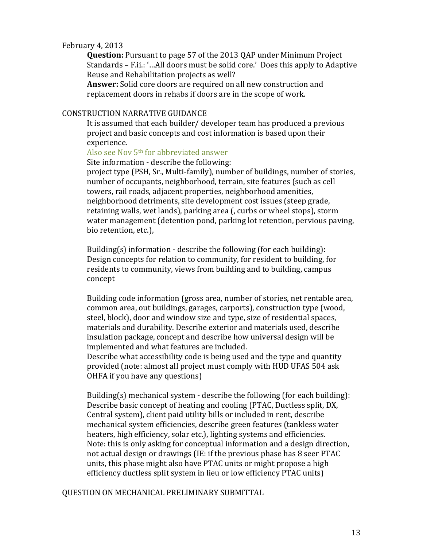# February 4, 2013

**Question:** Pursuant to page 57 of the 2013 QAP under Minimum Project Standards – F.ii.: '...All doors must be solid core.' Does this apply to Adaptive Reuse and Rehabilitation projects as well?

Answer: Solid core doors are required on all new construction and replacement doors in rehabs if doors are in the scope of work.

# CONSTRUCTION NARRATIVE GUIDANCE

It is assumed that each builder/ developer team has produced a previous project and basic concepts and cost information is based upon their experience. 

# Also see Nov 5<sup>th</sup> for abbreviated answer

Site information - describe the following:

project type (PSH, Sr., Multi-family), number of buildings, number of stories, number of occupants, neighborhood, terrain, site features (such as cell towers, rail roads, adjacent properties, neighborhood amenities, neighborhood detriments, site development cost issues (steep grade, retaining walls, wet lands), parking area (, curbs or wheel stops), storm water management (detention pond, parking lot retention, pervious paving, bio retention, etc.),

Building(s) information - describe the following (for each building): Design concepts for relation to community, for resident to building, for residents to community, views from building and to building, campus concept 

Building code information (gross area, number of stories, net rentable area, common area, out buildings, garages, carports), construction type (wood, steel, block), door and window size and type, size of residential spaces, materials and durability. Describe exterior and materials used, describe insulation package, concept and describe how universal design will be implemented and what features are included.

Describe what accessibility code is being used and the type and quantity provided (note: almost all project must comply with HUD UFAS 504 ask OHFA if you have any questions)

Building(s) mechanical system - describe the following (for each building): Describe basic concept of heating and cooling (PTAC, Ductless split, DX, Central system), client paid utility bills or included in rent, describe mechanical system efficiencies, describe green features (tankless water heaters, high efficiency, solar etc.), lighting systems and efficiencies. Note: this is only asking for conceptual information and a design direction, not actual design or drawings (IE: if the previous phase has 8 seer PTAC units, this phase might also have PTAC units or might propose a high efficiency ductless split system in lieu or low efficiency PTAC units)

### QUESTION ON MECHANICAL PRELIMINARY SUBMITTAL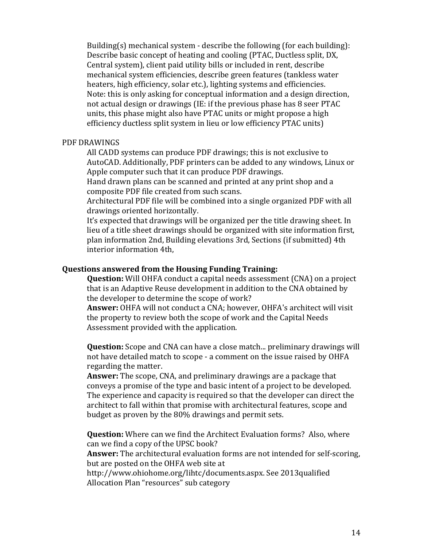Building(s) mechanical system  $-$  describe the following (for each building): Describe basic concept of heating and cooling (PTAC, Ductless split, DX, Central system), client paid utility bills or included in rent, describe mechanical system efficiencies, describe green features (tankless water heaters, high efficiency, solar etc.), lighting systems and efficiencies. Note: this is only asking for conceptual information and a design direction, not actual design or drawings (IE: if the previous phase has 8 seer PTAC units, this phase might also have PTAC units or might propose a high efficiency ductless split system in lieu or low efficiency PTAC units)

### PDF DRAWINGS

All CADD systems can produce PDF drawings; this is not exclusive to AutoCAD. Additionally, PDF printers can be added to any windows, Linux or Apple computer such that it can produce PDF drawings.

Hand drawn plans can be scanned and printed at any print shop and a composite PDF file created from such scans.

Architectural PDF file will be combined into a single organized PDF with all drawings oriented horizontally.

It's expected that drawings will be organized per the title drawing sheet. In lieu of a title sheet drawings should be organized with site information first, plan information 2nd, Building elevations 3rd, Sections (if submitted) 4th interior information 4th.

# **Questions answered from the Housing Funding Training:**

**Question:** Will OHFA conduct a capital needs assessment (CNA) on a project that is an Adaptive Reuse development in addition to the CNA obtained by the developer to determine the scope of work?

Answer: OHFA will not conduct a CNA; however, OHFA's architect will visit the property to review both the scope of work and the Capital Needs Assessment provided with the application.

**Question:** Scope and CNA can have a close match... preliminary drawings will not have detailed match to scope - a comment on the issue raised by OHFA regarding the matter.

**Answer:** The scope, CNA, and preliminary drawings are a package that conveys a promise of the type and basic intent of a project to be developed. The experience and capacity is required so that the developer can direct the architect to fall within that promise with architectural features, scope and budget as proven by the 80% drawings and permit sets.

**Question:** Where can we find the Architect Evaluation forms? Also, where can we find a copy of the UPSC book?

**Answer:** The architectural evaluation forms are not intended for self-scoring, but are posted on the OHFA web site at

http://www.ohiohome.org/lihtc/documents.aspx. See 2013qualified Allocation Plan "resources" sub category